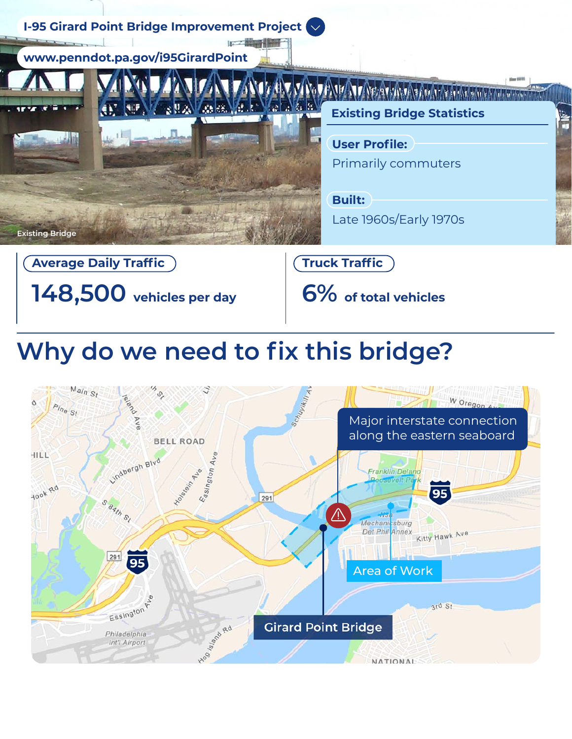

# **Why do we need to fix this bridge?**